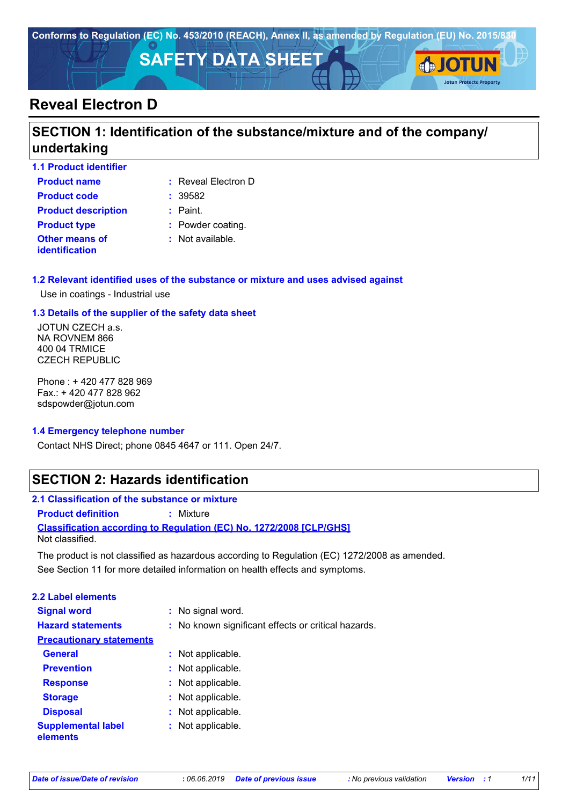

# **Reveal Electron D**

# **SECTION 1: Identification of the substance/mixture and of the company/ undertaking**

| <b>1.1 Product identifier</b>           |                             |
|-----------------------------------------|-----------------------------|
| <b>Product name</b>                     | $:$ Reveal Electron D       |
| <b>Product code</b>                     | : 39582                     |
| <b>Product description</b>              | $:$ Paint.                  |
| <b>Product type</b>                     | : Powder coating.           |
| Other means of<br><b>identification</b> | $\therefore$ Not available. |

#### **1.2 Relevant identified uses of the substance or mixture and uses advised against**

Use in coatings - Industrial use

#### **1.3 Details of the supplier of the safety data sheet**

JOTUN CZECH a.s. NA ROVNEM 866 400 04 TRMICE CZECH REPUBLIC

Phone : + 420 477 828 969 Fax.: + 420 477 828 962 sdspowder@jotun.com

#### **1.4 Emergency telephone number**

Contact NHS Direct; phone 0845 4647 or 111. Open 24/7.

### **SECTION 2: Hazards identification**

| 2.1 Classification of the substance or mixture |                                                                            |
|------------------------------------------------|----------------------------------------------------------------------------|
| <b>Product definition</b>                      | : Mixture                                                                  |
|                                                | <b>Classification according to Regulation (EC) No. 1272/2008 [CLP/GHS]</b> |
| Not classified.                                |                                                                            |

See Section 11 for more detailed information on health effects and symptoms. The product is not classified as hazardous according to Regulation (EC) 1272/2008 as amended.

| <b>2.2 Label elements</b>             |                                                     |
|---------------------------------------|-----------------------------------------------------|
| <b>Signal word</b>                    | : No signal word.                                   |
| <b>Hazard statements</b>              | : No known significant effects or critical hazards. |
| <b>Precautionary statements</b>       |                                                     |
| <b>General</b>                        | : Not applicable.                                   |
| <b>Prevention</b>                     | : Not applicable.                                   |
| <b>Response</b>                       | : Not applicable.                                   |
| <b>Storage</b>                        | : Not applicable.                                   |
| <b>Disposal</b>                       | : Not applicable.                                   |
| <b>Supplemental label</b><br>elements | : Not applicable.                                   |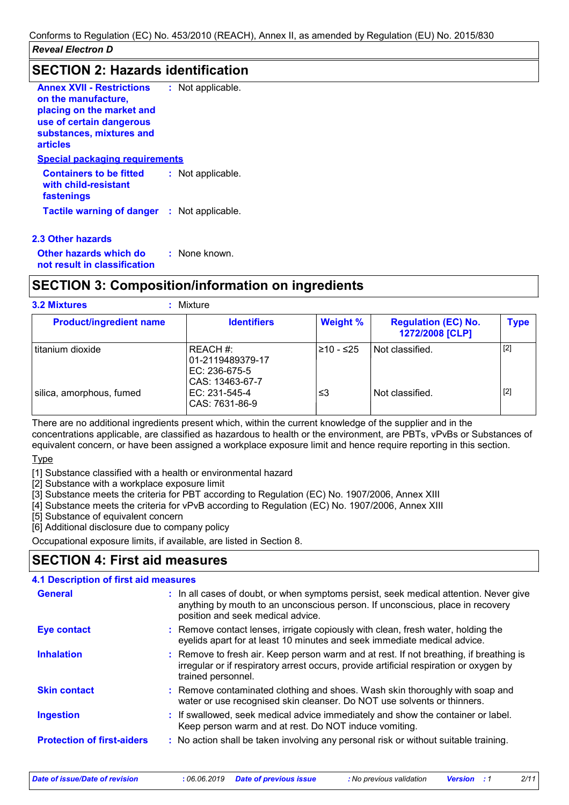### **SECTION 2: Hazards identification**

| <b>Annex XVII - Restrictions</b><br>on the manufacture,              | : Not applicable. |  |
|----------------------------------------------------------------------|-------------------|--|
| placing on the market and<br>use of certain dangerous                |                   |  |
| substances, mixtures and<br><b>articles</b>                          |                   |  |
| <b>Special packaging requirements</b>                                |                   |  |
| <b>Containers to be fitted</b><br>with child-resistant<br>fastenings | : Not applicable. |  |
| <b>Tactile warning of danger : Not applicable.</b>                   |                   |  |

#### **2.3 Other hazards**

**Other hazards which do : not result in classification** : None known.

# **SECTION 3: Composition/information on ingredients**

| <b>Product/ingredient name</b> | <b>Identifiers</b>                                               | <b>Weight %</b> | <b>Regulation (EC) No.</b> | <b>Type</b> |
|--------------------------------|------------------------------------------------------------------|-----------------|----------------------------|-------------|
|                                |                                                                  |                 | 1272/2008 [CLP]            |             |
| titanium dioxide               | REACH #:<br>01-2119489379-17<br>EC: 236-675-5<br>CAS: 13463-67-7 | $≥10 - ≤25$     | Not classified.            | $[2]$       |
| silica, amorphous, fumed       | EC: 231-545-4<br>CAS: 7631-86-9                                  | ≤3              | Not classified.            | $[2]$       |

There are no additional ingredients present which, within the current knowledge of the supplier and in the concentrations applicable, are classified as hazardous to health or the environment, are PBTs, vPvBs or Substances of equivalent concern, or have been assigned a workplace exposure limit and hence require reporting in this section.

#### Type

[1] Substance classified with a health or environmental hazard

[2] Substance with a workplace exposure limit

[3] Substance meets the criteria for PBT according to Regulation (EC) No. 1907/2006, Annex XIII

[4] Substance meets the criteria for vPvB according to Regulation (EC) No. 1907/2006, Annex XIII

[5] Substance of equivalent concern

[6] Additional disclosure due to company policy

Occupational exposure limits, if available, are listed in Section 8.

# **SECTION 4: First aid measures**

#### **:** If swallowed, seek medical advice immediately and show the container or label. Keep person warm and at rest. Do NOT induce vomiting. Remove contact lenses, irrigate copiously with clean, fresh water, holding the **:** eyelids apart for at least 10 minutes and seek immediate medical advice. Remove contaminated clothing and shoes. Wash skin thoroughly with soap and **:** water or use recognised skin cleanser. Do NOT use solvents or thinners. Remove to fresh air. Keep person warm and at rest. If not breathing, if breathing is **:** irregular or if respiratory arrest occurs, provide artificial respiration or oxygen by trained personnel. **General** The all cases of doubt, or when symptoms persist, seek medical attention. Never give anything by mouth to an unconscious person. If unconscious, place in recovery position and seek medical advice. **Skin contact 4.1 Description of first aid measures Ingestion Inhalation Eye contact Protection of first-aiders :** No action shall be taken involving any personal risk or without suitable training.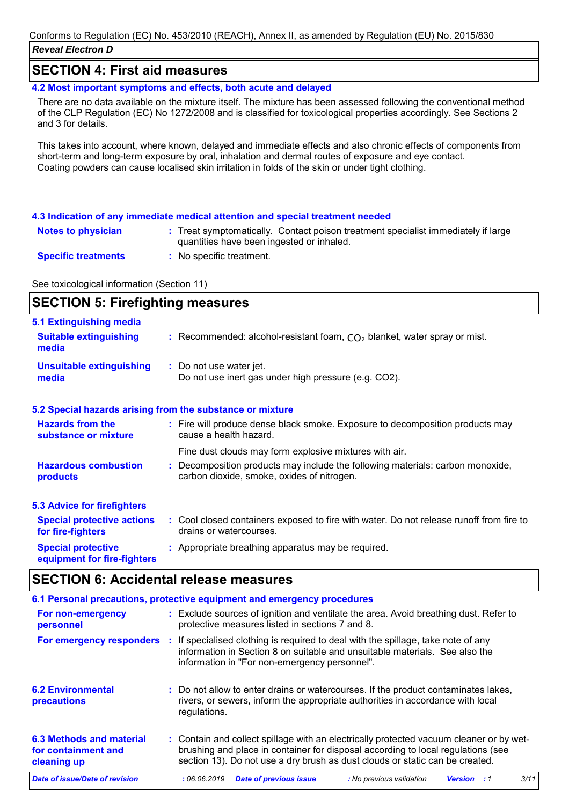### **SECTION 4: First aid measures**

**4.2 Most important symptoms and effects, both acute and delayed**

There are no data available on the mixture itself. The mixture has been assessed following the conventional method of the CLP Regulation (EC) No 1272/2008 and is classified for toxicological properties accordingly. See Sections 2 and 3 for details.

This takes into account, where known, delayed and immediate effects and also chronic effects of components from short-term and long-term exposure by oral, inhalation and dermal routes of exposure and eye contact. Coating powders can cause localised skin irritation in folds of the skin or under tight clothing.

#### **4.3 Indication of any immediate medical attention and special treatment needed**

- **Notes to physician Treat symptomatically. Contact poison treatment specialist immediately if large Notes 3.** quantities have been ingested or inhaled.
- **Specific treatments**

**equipment for fire-fighters**

**:** No specific treatment.

See toxicological information (Section 11)

#### **SECTION 5: Firefighting measures** Recommended: alcohol-resistant foam, CO₂ blanket, water spray or mist. **: :** Do not use water jet. Do not use inert gas under high pressure (e.g. CO2). **Hazardous combustion products Hazards from the substance or mixture Special protective 5.1 Extinguishing media :** Fire will produce dense black smoke. Exposure to decomposition products may **:** Decomposition products may include the following materials: carbon monoxide, **:** Appropriate breathing apparatus may be required. **Suitable extinguishing media Unsuitable extinguishing media 5.2 Special hazards arising from the substance or mixture 5.3 Advice for firefighters Special protective actions for fire-fighters :** Cool closed containers exposed to fire with water. Do not release runoff from fire to cause a health hazard. drains or watercourses. carbon dioxide, smoke, oxides of nitrogen. Fine dust clouds may form explosive mixtures with air.

### **SECTION 6: Accidental release measures**

|                                                                | 6.1 Personal precautions, protective equipment and emergency procedures                                                                                                                                                                                     |
|----------------------------------------------------------------|-------------------------------------------------------------------------------------------------------------------------------------------------------------------------------------------------------------------------------------------------------------|
| For non-emergency<br>personnel                                 | : Exclude sources of ignition and ventilate the area. Avoid breathing dust. Refer to<br>protective measures listed in sections 7 and 8.                                                                                                                     |
|                                                                | For emergency responders : If specialised clothing is required to deal with the spillage, take note of any<br>information in Section 8 on suitable and unsuitable materials. See also the<br>information in "For non-emergency personnel".                  |
| <b>6.2 Environmental</b><br>precautions                        | : Do not allow to enter drains or watercourses. If the product contaminates lakes,<br>rivers, or sewers, inform the appropriate authorities in accordance with local<br>regulations.                                                                        |
| 6.3 Methods and material<br>for containment and<br>cleaning up | : Contain and collect spillage with an electrically protected vacuum cleaner or by wet-<br>brushing and place in container for disposal according to local regulations (see<br>section 13). Do not use a dry brush as dust clouds or static can be created. |
| <b>Date of issue/Date of revision</b>                          | 3/11<br><b>Date of previous issue</b><br>:06.06.2019<br>: No previous validation<br><b>Version</b><br>: 1                                                                                                                                                   |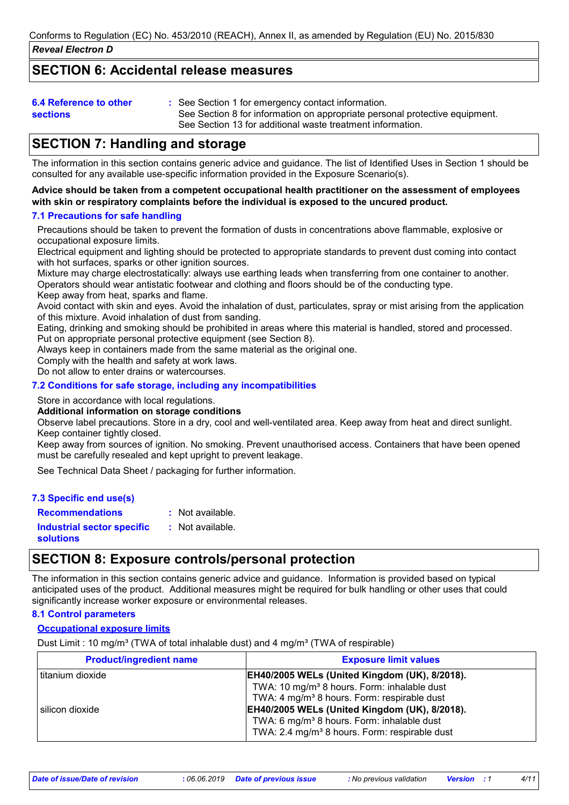### **SECTION 6: Accidental release measures**

| 6.4 Reference to other | : See Section 1 for emergency contact information.                          |
|------------------------|-----------------------------------------------------------------------------|
| <b>sections</b>        | See Section 8 for information on appropriate personal protective equipment. |
|                        | See Section 13 for additional waste treatment information.                  |

## **SECTION 7: Handling and storage**

The information in this section contains generic advice and guidance. The list of Identified Uses in Section 1 should be consulted for any available use-specific information provided in the Exposure Scenario(s).

#### **Advice should be taken from a competent occupational health practitioner on the assessment of employees with skin or respiratory complaints before the individual is exposed to the uncured product.**

#### **7.1 Precautions for safe handling**

Precautions should be taken to prevent the formation of dusts in concentrations above flammable, explosive or occupational exposure limits.

Electrical equipment and lighting should be protected to appropriate standards to prevent dust coming into contact with hot surfaces, sparks or other ignition sources.

Mixture may charge electrostatically: always use earthing leads when transferring from one container to another. Operators should wear antistatic footwear and clothing and floors should be of the conducting type.

Keep away from heat, sparks and flame.

Avoid contact with skin and eyes. Avoid the inhalation of dust, particulates, spray or mist arising from the application of this mixture. Avoid inhalation of dust from sanding.

Eating, drinking and smoking should be prohibited in areas where this material is handled, stored and processed. Put on appropriate personal protective equipment (see Section 8).

Always keep in containers made from the same material as the original one.

Comply with the health and safety at work laws.

Do not allow to enter drains or watercourses.

#### **7.2 Conditions for safe storage, including any incompatibilities**

Store in accordance with local regulations.

#### **Additional information on storage conditions**

Observe label precautions. Store in a dry, cool and well-ventilated area. Keep away from heat and direct sunlight. Keep container tightly closed.

Keep away from sources of ignition. No smoking. Prevent unauthorised access. Containers that have been opened must be carefully resealed and kept upright to prevent leakage.

See Technical Data Sheet / packaging for further information.

| 7.3 Specific end use(s)                        |                  |
|------------------------------------------------|------------------|
| <b>Recommendations</b>                         | : Not available. |
| Industrial sector specific<br><b>solutions</b> | : Not available. |

### **SECTION 8: Exposure controls/personal protection**

The information in this section contains generic advice and guidance. Information is provided based on typical anticipated uses of the product. Additional measures might be required for bulk handling or other uses that could significantly increase worker exposure or environmental releases.

#### **8.1 Control parameters**

#### **Occupational exposure limits**

Dust Limit : 10 mg/m<sup>3</sup> (TWA of total inhalable dust) and 4 mg/m<sup>3</sup> (TWA of respirable)

| <b>Product/ingredient name</b> | <b>Exposure limit values</b>                              |
|--------------------------------|-----------------------------------------------------------|
| titanium dioxide               | <b>EH40/2005 WELs (United Kingdom (UK), 8/2018).</b>      |
|                                | TWA: 10 mg/m <sup>3</sup> 8 hours. Form: inhalable dust   |
|                                | TWA: 4 mg/m <sup>3</sup> 8 hours. Form: respirable dust   |
| l silicon dioxide              | EH40/2005 WELs (United Kingdom (UK), 8/2018).             |
|                                | TWA: 6 mg/m <sup>3</sup> 8 hours. Form: inhalable dust    |
|                                | TWA: 2.4 mg/m <sup>3</sup> 8 hours. Form: respirable dust |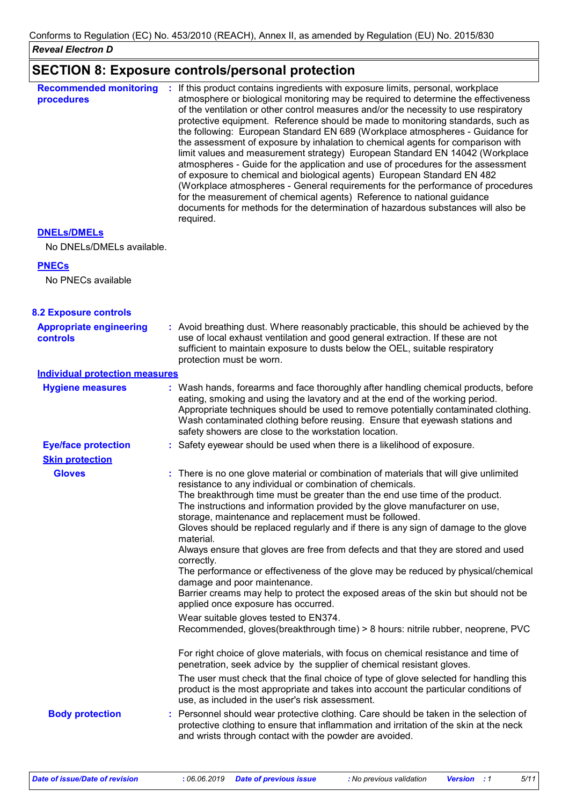# **SECTION 8: Exposure controls/personal protection**

| <b>Recommended monitoring</b><br>procedures | If this product contains ingredients with exposure limits, personal, workplace<br>÷.<br>atmosphere or biological monitoring may be required to determine the effectiveness<br>of the ventilation or other control measures and/or the necessity to use respiratory<br>protective equipment. Reference should be made to monitoring standards, such as<br>the following: European Standard EN 689 (Workplace atmospheres - Guidance for<br>the assessment of exposure by inhalation to chemical agents for comparison with<br>limit values and measurement strategy) European Standard EN 14042 (Workplace<br>atmospheres - Guide for the application and use of procedures for the assessment<br>of exposure to chemical and biological agents) European Standard EN 482<br>(Workplace atmospheres - General requirements for the performance of procedures<br>for the measurement of chemical agents) Reference to national guidance<br>documents for methods for the determination of hazardous substances will also be<br>required. |
|---------------------------------------------|----------------------------------------------------------------------------------------------------------------------------------------------------------------------------------------------------------------------------------------------------------------------------------------------------------------------------------------------------------------------------------------------------------------------------------------------------------------------------------------------------------------------------------------------------------------------------------------------------------------------------------------------------------------------------------------------------------------------------------------------------------------------------------------------------------------------------------------------------------------------------------------------------------------------------------------------------------------------------------------------------------------------------------------|
|---------------------------------------------|----------------------------------------------------------------------------------------------------------------------------------------------------------------------------------------------------------------------------------------------------------------------------------------------------------------------------------------------------------------------------------------------------------------------------------------------------------------------------------------------------------------------------------------------------------------------------------------------------------------------------------------------------------------------------------------------------------------------------------------------------------------------------------------------------------------------------------------------------------------------------------------------------------------------------------------------------------------------------------------------------------------------------------------|

#### **DNELs/DMELs**

No DNELs/DMELs available.

#### **PNECs**

No PNECs available

| <b>8.2 Exposure controls</b>               |                                                                                                                                                                                                                                                                                                                                                                                                                                                                                                                                                                                                                                                                                                                                                                                                                                                                                                                                                                 |
|--------------------------------------------|-----------------------------------------------------------------------------------------------------------------------------------------------------------------------------------------------------------------------------------------------------------------------------------------------------------------------------------------------------------------------------------------------------------------------------------------------------------------------------------------------------------------------------------------------------------------------------------------------------------------------------------------------------------------------------------------------------------------------------------------------------------------------------------------------------------------------------------------------------------------------------------------------------------------------------------------------------------------|
| <b>Appropriate engineering</b><br>controls | : Avoid breathing dust. Where reasonably practicable, this should be achieved by the<br>use of local exhaust ventilation and good general extraction. If these are not<br>sufficient to maintain exposure to dusts below the OEL, suitable respiratory<br>protection must be worn.                                                                                                                                                                                                                                                                                                                                                                                                                                                                                                                                                                                                                                                                              |
| <b>Individual protection measures</b>      |                                                                                                                                                                                                                                                                                                                                                                                                                                                                                                                                                                                                                                                                                                                                                                                                                                                                                                                                                                 |
| <b>Hygiene measures</b>                    | : Wash hands, forearms and face thoroughly after handling chemical products, before<br>eating, smoking and using the lavatory and at the end of the working period.<br>Appropriate techniques should be used to remove potentially contaminated clothing.<br>Wash contaminated clothing before reusing. Ensure that eyewash stations and<br>safety showers are close to the workstation location.                                                                                                                                                                                                                                                                                                                                                                                                                                                                                                                                                               |
| <b>Eye/face protection</b>                 | : Safety eyewear should be used when there is a likelihood of exposure.                                                                                                                                                                                                                                                                                                                                                                                                                                                                                                                                                                                                                                                                                                                                                                                                                                                                                         |
| <b>Skin protection</b>                     |                                                                                                                                                                                                                                                                                                                                                                                                                                                                                                                                                                                                                                                                                                                                                                                                                                                                                                                                                                 |
| <b>Gloves</b>                              | : There is no one glove material or combination of materials that will give unlimited<br>resistance to any individual or combination of chemicals.<br>The breakthrough time must be greater than the end use time of the product.<br>The instructions and information provided by the glove manufacturer on use,<br>storage, maintenance and replacement must be followed.<br>Gloves should be replaced regularly and if there is any sign of damage to the glove<br>material.<br>Always ensure that gloves are free from defects and that they are stored and used<br>correctly.<br>The performance or effectiveness of the glove may be reduced by physical/chemical<br>damage and poor maintenance.<br>Barrier creams may help to protect the exposed areas of the skin but should not be<br>applied once exposure has occurred.<br>Wear suitable gloves tested to EN374.<br>Recommended, gloves(breakthrough time) > 8 hours: nitrile rubber, neoprene, PVC |
|                                            | For right choice of glove materials, with focus on chemical resistance and time of<br>penetration, seek advice by the supplier of chemical resistant gloves.<br>The user must check that the final choice of type of glove selected for handling this<br>product is the most appropriate and takes into account the particular conditions of<br>use, as included in the user's risk assessment.                                                                                                                                                                                                                                                                                                                                                                                                                                                                                                                                                                 |
| <b>Body protection</b>                     | : Personnel should wear protective clothing. Care should be taken in the selection of<br>protective clothing to ensure that inflammation and irritation of the skin at the neck<br>and wrists through contact with the powder are avoided.                                                                                                                                                                                                                                                                                                                                                                                                                                                                                                                                                                                                                                                                                                                      |
|                                            |                                                                                                                                                                                                                                                                                                                                                                                                                                                                                                                                                                                                                                                                                                                                                                                                                                                                                                                                                                 |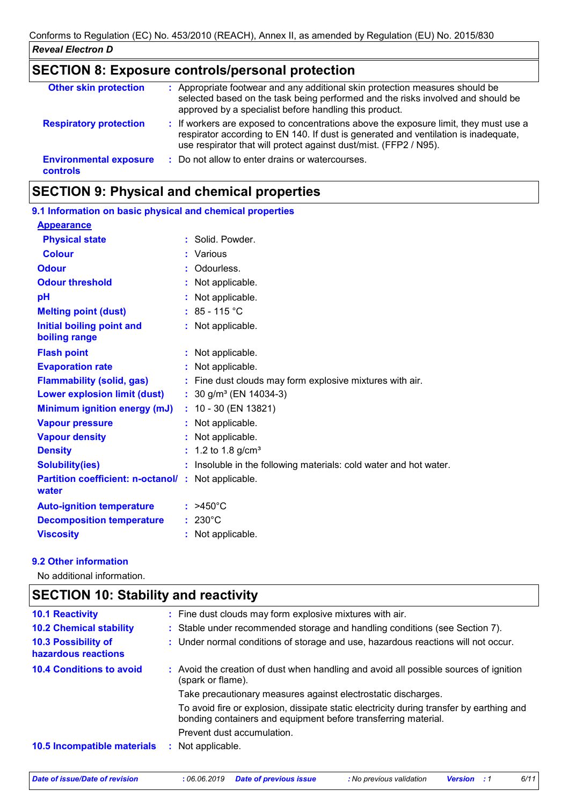| <b>SECTION 8: Exposure controls/personal protection</b> |                                                                                                                                                                                                                                                  |  |
|---------------------------------------------------------|--------------------------------------------------------------------------------------------------------------------------------------------------------------------------------------------------------------------------------------------------|--|
| <b>Other skin protection</b>                            | : Appropriate footwear and any additional skin protection measures should be<br>selected based on the task being performed and the risks involved and should be<br>approved by a specialist before handling this product.                        |  |
| <b>Respiratory protection</b>                           | : If workers are exposed to concentrations above the exposure limit, they must use a<br>respirator according to EN 140. If dust is generated and ventilation is inadequate,<br>use respirator that will protect against dust/mist. (FFP2 / N95). |  |
| <b>Environmental exposure</b><br><b>controls</b>        | : Do not allow to enter drains or watercourses.                                                                                                                                                                                                  |  |

# **SECTION 9: Physical and chemical properties**

| 9.1 Information on basic physical and chemical properties   |                                                                   |
|-------------------------------------------------------------|-------------------------------------------------------------------|
| <b>Appearance</b>                                           |                                                                   |
| <b>Physical state</b>                                       | : Solid. Powder.                                                  |
| <b>Colour</b>                                               | : Various                                                         |
| <b>Odour</b>                                                | Odourless.                                                        |
| <b>Odour threshold</b>                                      | : Not applicable.                                                 |
| pH                                                          | : Not applicable.                                                 |
| <b>Melting point (dust)</b>                                 | $: 85 - 115 °C$                                                   |
| Initial boiling point and<br>boiling range                  | : Not applicable.                                                 |
| <b>Flash point</b>                                          | : Not applicable.                                                 |
| <b>Evaporation rate</b>                                     | : Not applicable.                                                 |
| <b>Flammability (solid, gas)</b>                            | : Fine dust clouds may form explosive mixtures with air.          |
| <b>Lower explosion limit (dust)</b>                         | $: 30$ g/m <sup>3</sup> (EN 14034-3)                              |
| <b>Minimum ignition energy (mJ)</b>                         | $: 10 - 30$ (EN 13821)                                            |
| <b>Vapour pressure</b>                                      | : Not applicable.                                                 |
| <b>Vapour density</b>                                       | : Not applicable.                                                 |
| <b>Density</b>                                              | $: 1.2$ to 1.8 g/cm <sup>3</sup>                                  |
| <b>Solubility(ies)</b>                                      | : Insoluble in the following materials: cold water and hot water. |
| Partition coefficient: n-octanol/: Not applicable.<br>water |                                                                   |
| <b>Auto-ignition temperature</b>                            | $: >450^{\circ}C$                                                 |
| <b>Decomposition temperature</b>                            | $: 230^{\circ}$ C                                                 |
| <b>Viscosity</b>                                            | : Not applicable.                                                 |
|                                                             |                                                                   |

#### **9.2 Other information**

No additional information.

| <b>10.1 Reactivity</b>                            | : Fine dust clouds may form explosive mixtures with air.                                                                                                   |
|---------------------------------------------------|------------------------------------------------------------------------------------------------------------------------------------------------------------|
| <b>10.2 Chemical stability</b>                    | : Stable under recommended storage and handling conditions (see Section 7).                                                                                |
| <b>10.3 Possibility of</b><br>hazardous reactions | : Under normal conditions of storage and use, hazardous reactions will not occur.                                                                          |
| <b>10.4 Conditions to avoid</b>                   | : Avoid the creation of dust when handling and avoid all possible sources of ignition<br>(spark or flame).                                                 |
|                                                   | Take precautionary measures against electrostatic discharges.                                                                                              |
|                                                   | To avoid fire or explosion, dissipate static electricity during transfer by earthing and<br>bonding containers and equipment before transferring material. |
|                                                   | Prevent dust accumulation.                                                                                                                                 |
| 10.5 Incompatible materials                       | : Not applicable.                                                                                                                                          |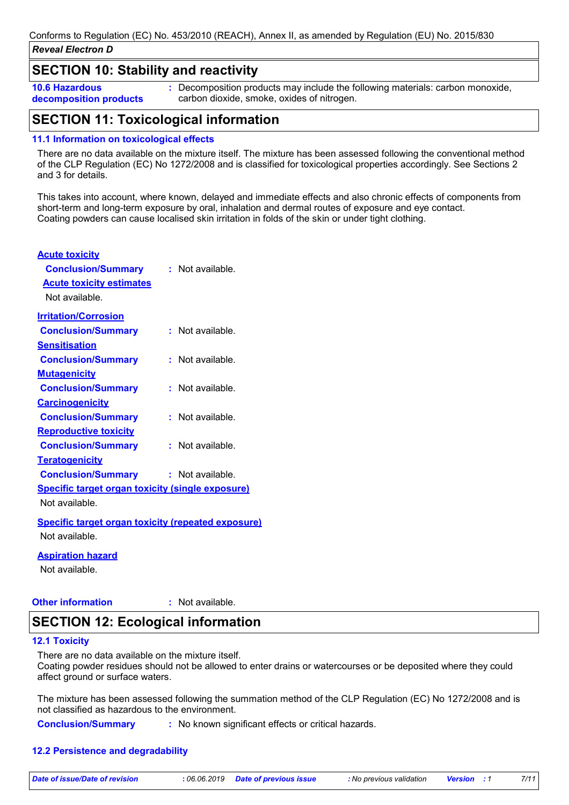### **SECTION 10: Stability and reactivity**

**10.6 Hazardous decomposition products** **:** Decomposition products may include the following materials: carbon monoxide, carbon dioxide, smoke, oxides of nitrogen.

# **SECTION 11: Toxicological information**

#### **11.1 Information on toxicological effects**

There are no data available on the mixture itself. The mixture has been assessed following the conventional method of the CLP Regulation (EC) No 1272/2008 and is classified for toxicological properties accordingly. See Sections 2 and 3 for details.

This takes into account, where known, delayed and immediate effects and also chronic effects of components from short-term and long-term exposure by oral, inhalation and dermal routes of exposure and eye contact. Coating powders can cause localised skin irritation in folds of the skin or under tight clothing.

#### **Acute toxicity**

| <b>Conclusion/Summary</b>                                 | $:$ Not available. |
|-----------------------------------------------------------|--------------------|
| <b>Acute toxicity estimates</b>                           |                    |
| Not available.                                            |                    |
| <b>Irritation/Corrosion</b>                               |                    |
| <b>Conclusion/Summary</b>                                 | $:$ Not available. |
| <b>Sensitisation</b>                                      |                    |
| <b>Conclusion/Summary</b>                                 | $:$ Not available. |
| <u>Mutaqenicity</u>                                       |                    |
| <b>Conclusion/Summary</b>                                 | $:$ Not available. |
| <b>Carcinogenicity</b>                                    |                    |
| <b>Conclusion/Summary</b>                                 | $:$ Not available. |
| <b>Reproductive toxicity</b>                              |                    |
| <b>Conclusion/Summary</b>                                 | $:$ Not available. |
| <u>Teratogenicity</u>                                     |                    |
| <b>Conclusion/Summary</b>                                 | $:$ Not available. |
| <b>Specific target organ toxicity (single exposure)</b>   |                    |
| Not available.                                            |                    |
| <b>Specific target organ toxicity (repeated exposure)</b> |                    |
| Not available.                                            |                    |

#### **Aspiration hazard**

Not available.

**Other information :** : Not available.

### **SECTION 12: Ecological information**

#### **12.1 Toxicity**

There are no data available on the mixture itself.

Coating powder residues should not be allowed to enter drains or watercourses or be deposited where they could affect ground or surface waters.

The mixture has been assessed following the summation method of the CLP Regulation (EC) No 1272/2008 and is not classified as hazardous to the environment.

**Conclusion/Summary :** : No known significant effects or critical hazards.

#### **12.2 Persistence and degradability**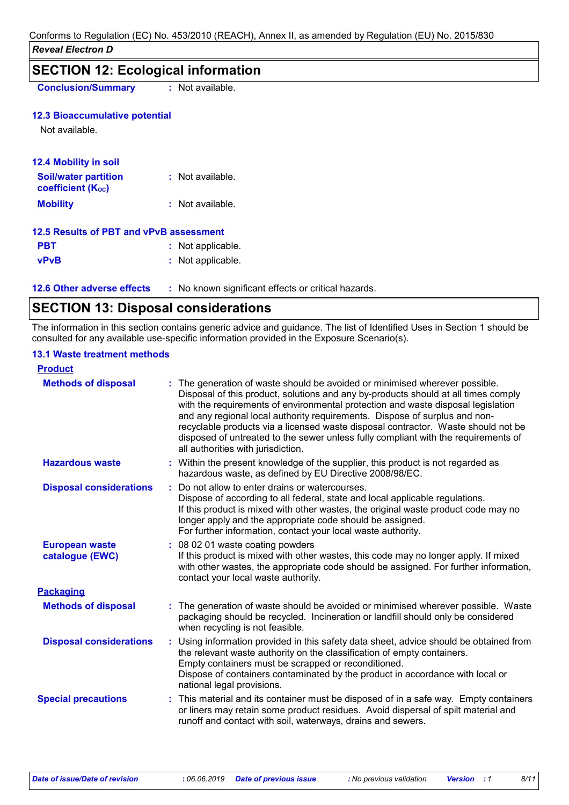| <b>Conclusion/Summary</b>                               | : Not available.  |
|---------------------------------------------------------|-------------------|
| <b>12.3 Bioaccumulative potential</b>                   |                   |
| Not available.                                          |                   |
| <b>12.4 Mobility in soil</b>                            |                   |
| <b>Soil/water partition</b><br><b>coefficient (Koc)</b> | : Not available.  |
| <b>Mobility</b>                                         | : Not available.  |
| 12.5 Results of PBT and vPvB assessment                 |                   |
| <b>PBT</b>                                              | : Not applicable. |
| <b>vPvB</b>                                             | : Not applicable. |

**12.6 Other adverse effects** : No known significant effects or critical hazards.

# **SECTION 13: Disposal considerations**

The information in this section contains generic advice and guidance. The list of Identified Uses in Section 1 should be consulted for any available use-specific information provided in the Exposure Scenario(s).

### **13.1 Waste treatment methods**

| <b>Product</b>                           |                                                                                                                                                                                                                                                                                                                                                                                                                                                                                                                                                      |
|------------------------------------------|------------------------------------------------------------------------------------------------------------------------------------------------------------------------------------------------------------------------------------------------------------------------------------------------------------------------------------------------------------------------------------------------------------------------------------------------------------------------------------------------------------------------------------------------------|
| <b>Methods of disposal</b>               | : The generation of waste should be avoided or minimised wherever possible.<br>Disposal of this product, solutions and any by-products should at all times comply<br>with the requirements of environmental protection and waste disposal legislation<br>and any regional local authority requirements. Dispose of surplus and non-<br>recyclable products via a licensed waste disposal contractor. Waste should not be<br>disposed of untreated to the sewer unless fully compliant with the requirements of<br>all authorities with jurisdiction. |
| <b>Hazardous waste</b>                   | : Within the present knowledge of the supplier, this product is not regarded as<br>hazardous waste, as defined by EU Directive 2008/98/EC.                                                                                                                                                                                                                                                                                                                                                                                                           |
| <b>Disposal considerations</b>           | Do not allow to enter drains or watercourses.<br>Dispose of according to all federal, state and local applicable regulations.<br>If this product is mixed with other wastes, the original waste product code may no<br>longer apply and the appropriate code should be assigned.<br>For further information, contact your local waste authority.                                                                                                                                                                                                     |
| <b>European waste</b><br>catalogue (EWC) | : 08 02 01 waste coating powders<br>If this product is mixed with other wastes, this code may no longer apply. If mixed<br>with other wastes, the appropriate code should be assigned. For further information,<br>contact your local waste authority.                                                                                                                                                                                                                                                                                               |
| <b>Packaging</b>                         |                                                                                                                                                                                                                                                                                                                                                                                                                                                                                                                                                      |
| <b>Methods of disposal</b>               | : The generation of waste should be avoided or minimised wherever possible. Waste<br>packaging should be recycled. Incineration or landfill should only be considered<br>when recycling is not feasible.                                                                                                                                                                                                                                                                                                                                             |
| <b>Disposal considerations</b>           | Using information provided in this safety data sheet, advice should be obtained from<br>the relevant waste authority on the classification of empty containers.<br>Empty containers must be scrapped or reconditioned.<br>Dispose of containers contaminated by the product in accordance with local or<br>national legal provisions.                                                                                                                                                                                                                |
| <b>Special precautions</b>               | : This material and its container must be disposed of in a safe way. Empty containers<br>or liners may retain some product residues. Avoid dispersal of spilt material and<br>runoff and contact with soil, waterways, drains and sewers.                                                                                                                                                                                                                                                                                                            |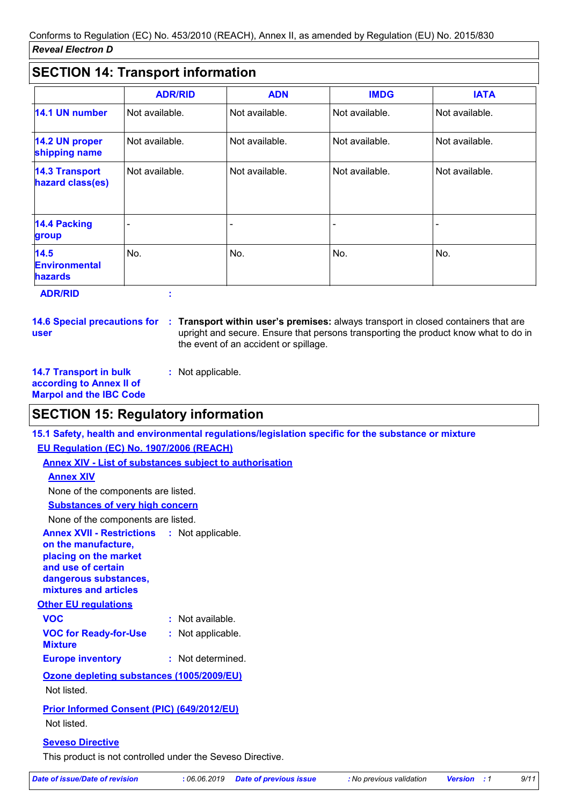# **SECTION 14: Transport information**

|                                                       | <b>ADR/RID</b> | <b>ADN</b>     | <b>IMDG</b>    | <b>IATA</b>    |
|-------------------------------------------------------|----------------|----------------|----------------|----------------|
| 14.1 UN number                                        | Not available. | Not available. | Not available. | Not available. |
| 14.2 UN proper<br>shipping name                       | Not available. | Not available. | Not available. | Not available. |
| <b>14.3 Transport</b><br>hazard class(es)             | Not available. | Not available. | Not available. | Not available. |
| 14.4 Packing<br>group                                 |                |                |                |                |
| <b>14.5</b><br><b>Environmental</b><br><b>hazards</b> | No.            | No.            | No.            | No.            |
| <b>ADR/RID</b>                                        |                |                |                |                |

**14.6 Special precautions for user**

**Transport within user's premises:** always transport in closed containers that are **:** upright and secure. Ensure that persons transporting the product know what to do in the event of an accident or spillage.

**14.7 Transport in bulk according to Annex II of Marpol and the IBC Code**

**:** Not applicable.

### **SECTION 15: Regulatory information**

**15.1 Safety, health and environmental regulations/legislation specific for the substance or mixture**

**EU Regulation (EC) No. 1907/2006 (REACH)**

**Annex XIV - List of substances subject to authorisation**

### **Annex XIV**

None of the components are listed.

**Substances of very high concern**

None of the components are listed.

**Annex XVII - Restrictions on the manufacture,** : Not applicable.

**placing on the market and use of certain dangerous substances, mixtures and articles**

**Other EU regulations**

| <b>VOC</b>                                     | : Not available.  |
|------------------------------------------------|-------------------|
| <b>VOC for Ready-for-Use</b><br><b>Mixture</b> | : Not applicable. |
| <b>Europe inventory</b>                        | : Not determined. |

**Ozone depleting substances (1005/2009/EU)**

Not listed.

**Prior Informed Consent (PIC) (649/2012/EU)**

Not listed.

### **Seveso Directive**

This product is not controlled under the Seveso Directive.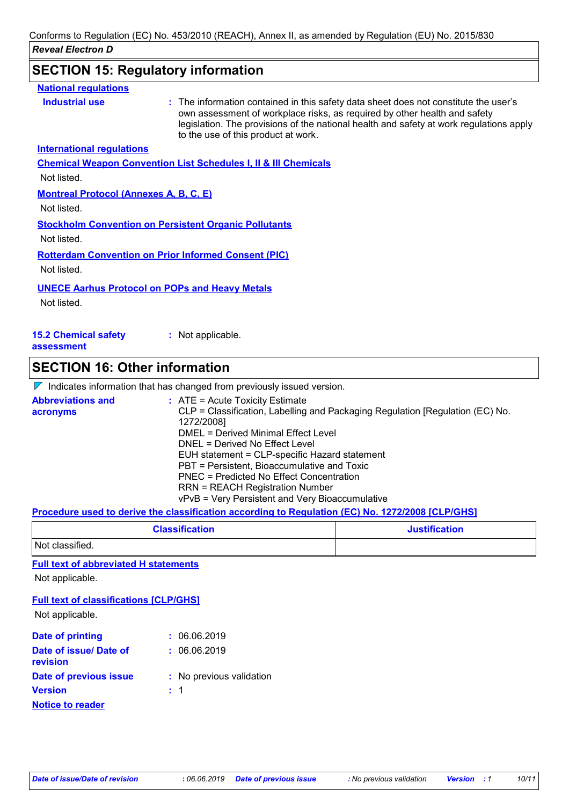# **SECTION 15: Regulatory information**

| <b>National requlations</b>                   |                                                                                                                                                                                                                                                                                                     |
|-----------------------------------------------|-----------------------------------------------------------------------------------------------------------------------------------------------------------------------------------------------------------------------------------------------------------------------------------------------------|
| <b>Industrial use</b>                         | : The information contained in this safety data sheet does not constitute the user's<br>own assessment of workplace risks, as required by other health and safety<br>legislation. The provisions of the national health and safety at work regulations apply<br>to the use of this product at work. |
| <b>International requlations</b>              |                                                                                                                                                                                                                                                                                                     |
|                                               | <b>Chemical Weapon Convention List Schedules I, II &amp; III Chemicals</b>                                                                                                                                                                                                                          |
| Not listed.                                   |                                                                                                                                                                                                                                                                                                     |
| <b>Montreal Protocol (Annexes A, B, C, E)</b> |                                                                                                                                                                                                                                                                                                     |
| Not listed.                                   |                                                                                                                                                                                                                                                                                                     |
|                                               | <b>Stockholm Convention on Persistent Organic Pollutants</b>                                                                                                                                                                                                                                        |
| Not listed.                                   |                                                                                                                                                                                                                                                                                                     |
|                                               | <b>Rotterdam Convention on Prior Informed Consent (PIC)</b>                                                                                                                                                                                                                                         |
| Not listed.                                   |                                                                                                                                                                                                                                                                                                     |
|                                               | <b>UNECE Aarhus Protocol on POPs and Heavy Metals</b>                                                                                                                                                                                                                                               |
| Not listed.                                   |                                                                                                                                                                                                                                                                                                     |
|                                               |                                                                                                                                                                                                                                                                                                     |
| <b>15.2 Chemical safety</b><br>assessment     | : Not applicable.                                                                                                                                                                                                                                                                                   |
| <b>SECTION 16: Other information</b>          |                                                                                                                                                                                                                                                                                                     |
|                                               | $\nabla$ Indicates information that has changed from previously issued version.                                                                                                                                                                                                                     |
|                                               |                                                                                                                                                                                                                                                                                                     |

| <b>Abbreviations and</b> | $:$ ATE = Acute Toxicity Estimate                                             |
|--------------------------|-------------------------------------------------------------------------------|
| acronyms                 | CLP = Classification, Labelling and Packaging Regulation [Regulation (EC) No. |
|                          | 1272/2008]                                                                    |
|                          | <b>DMEL = Derived Minimal Effect Level</b>                                    |
|                          | DNEL = Derived No Effect Level                                                |
|                          | EUH statement = CLP-specific Hazard statement                                 |
|                          | PBT = Persistent, Bioaccumulative and Toxic                                   |
|                          | PNEC = Predicted No Effect Concentration                                      |
|                          | <b>RRN = REACH Registration Number</b>                                        |
|                          | vPvB = Very Persistent and Very Bioaccumulative                               |

### **Procedure used to derive the classification according to Regulation (EC) No. 1272/2008 [CLP/GHS]**

| <b>Classification</b> | <b>Justification</b> |
|-----------------------|----------------------|
| Not classified.       |                      |

#### **Full text of abbreviated H statements**

Not applicable.

#### **Full text of classifications [CLP/GHS]**

Not applicable.

| Date of printing                   | : 06.06.2019             |
|------------------------------------|--------------------------|
| Date of issue/ Date of<br>revision | : 06.06.2019             |
| Date of previous issue             |                          |
|                                    | : No previous validation |
| <b>Version</b>                     | $\therefore$ 1           |